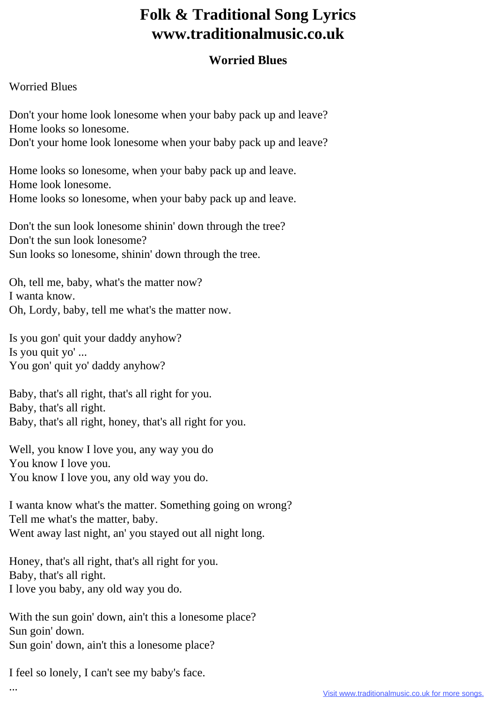## **Folk & Traditional Song Lyrics www.traditionalmusic.co.uk**

## **Worried Blues**

## Worried Blues

Don't your home look lonesome when your baby pack up and leave? Home looks so lonesome. Don't your home look lonesome when your baby pack up and leave?

Home looks so lonesome, when your baby pack up and leave. Home look lonesome. Home looks so lonesome, when your baby pack up and leave.

Don't the sun look lonesome shinin' down through the tree? Don't the sun look lonesome? Sun looks so lonesome, shinin' down through the tree.

Oh, tell me, baby, what's the matter now? I wanta know. Oh, Lordy, baby, tell me what's the matter now.

Is you gon' quit your daddy anyhow? Is you quit yo' ... You gon' quit yo' daddy anyhow?

Baby, that's all right, that's all right for you. Baby, that's all right. Baby, that's all right, honey, that's all right for you.

Well, you know I love you, any way you do You know I love you. You know I love you, any old way you do.

I wanta know what's the matter. Something going on wrong? Tell me what's the matter, baby. Went away last night, an' you stayed out all night long.

Honey, that's all right, that's all right for you. Baby, that's all right. I love you baby, any old way you do.

With the sun goin' down, ain't this a lonesome place? Sun goin' down. Sun goin' down, ain't this a lonesome place?

I feel so lonely, I can't see my baby's face.